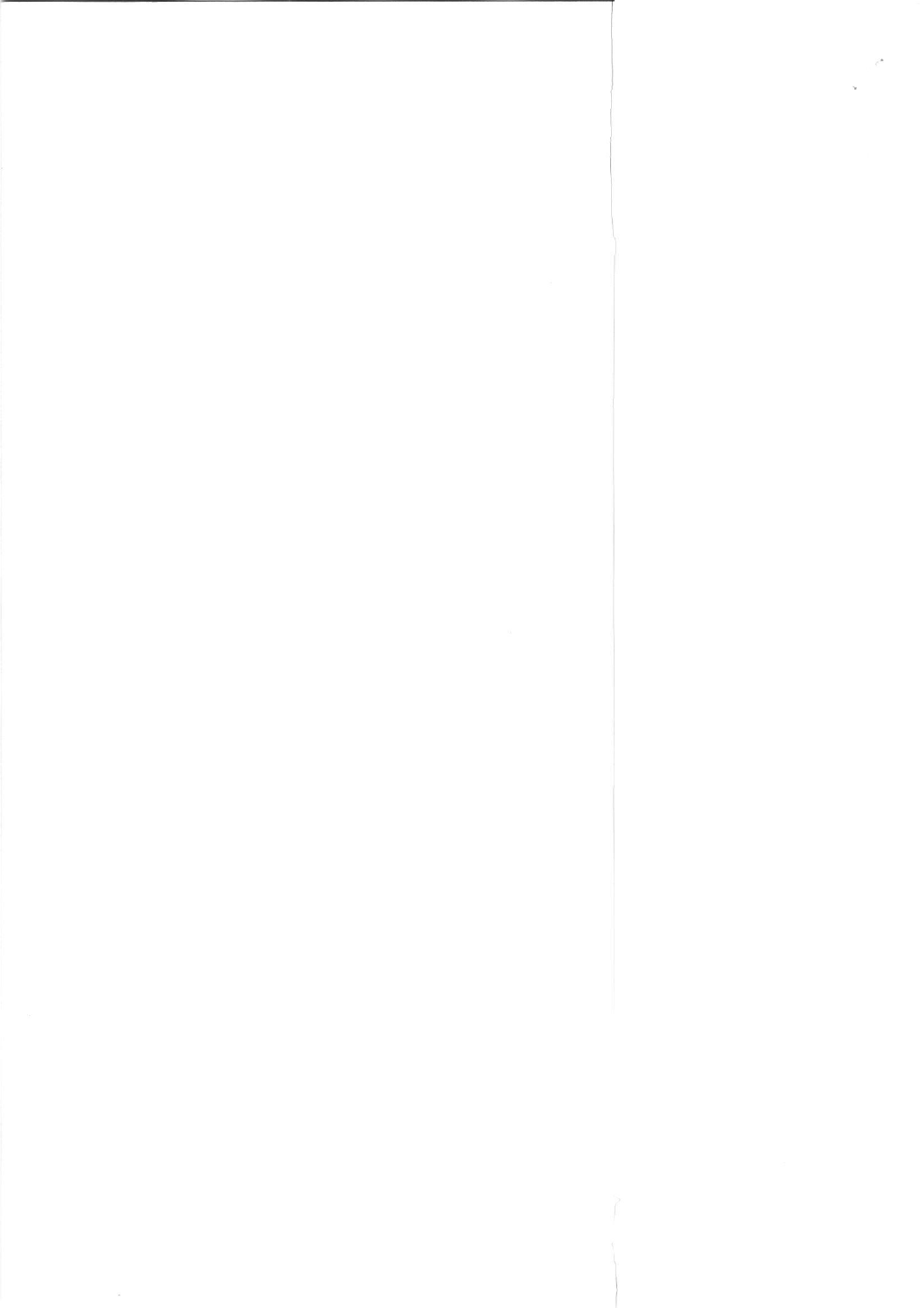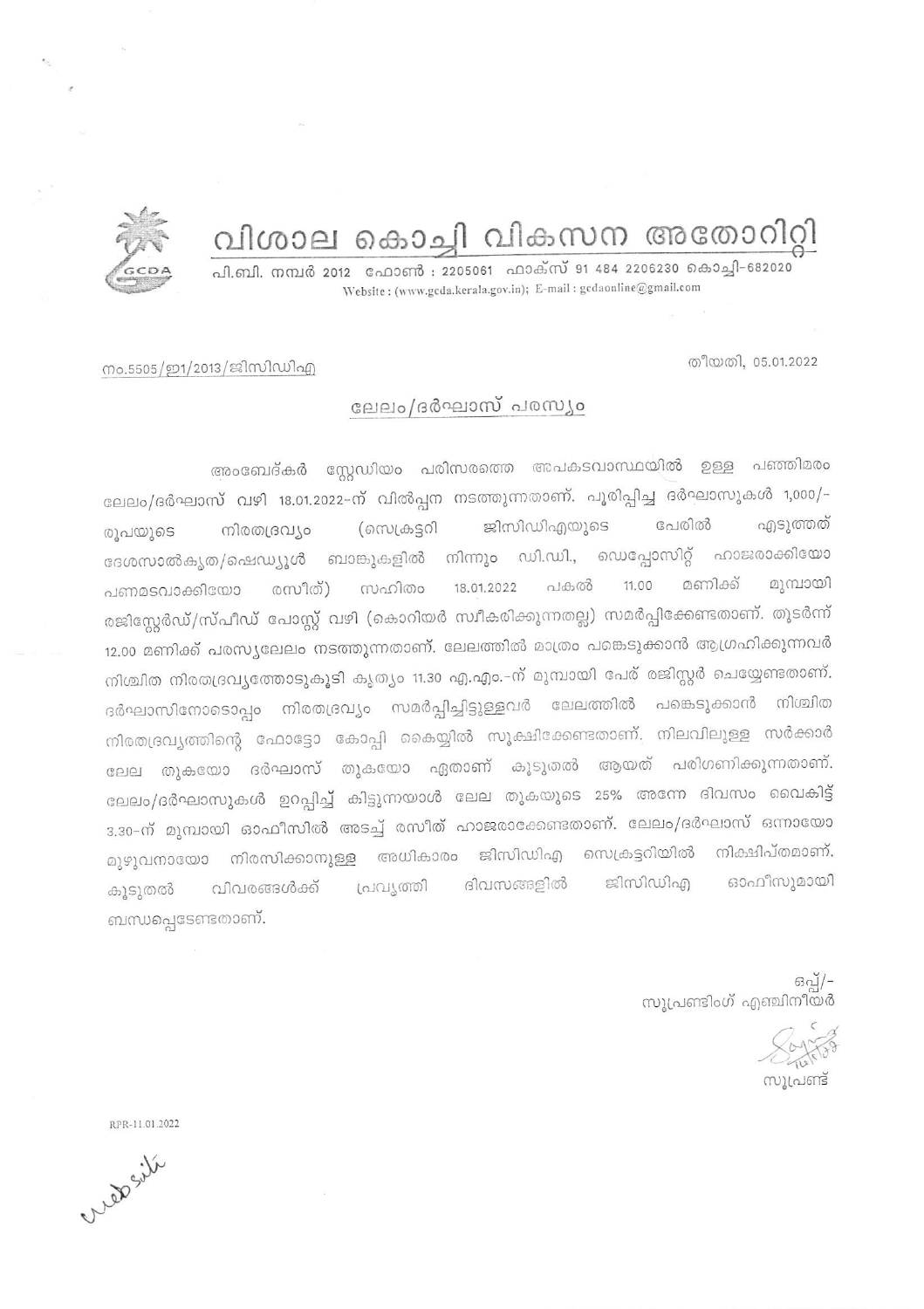വിശാല കൊച്ചി വികസന അതോറിറ്റി



പി.ബി. നമ്പർ 2012 ഫോൺ : 2205061 ഫാക്സ് 91 484 2206230 കൊച്ചി-682020 Website: (www.gcda.kerala.gov.in); E-mail: gcdaonline@gmail.com

തീയതി, 05.01.2022

## നം.5505/ഇ1/2013/ജിസിഡിഎ

## ലേലം/ദർഘാസ് പരസ്യം

അംബേദ്കർ സ്റ്റേഡിയം പരിസരത്തെ അപകടവാസ്ഥയിൽ ഉള്ള പഞ്ഞിമരം ലേലം/ദർഘാസ് വഴി 18.01.2022-ന് വിൽപ്പന നടത്തുന്നതാണ്. പൂരിപ്പിച്ച ദർഘാസുകൾ 1,000/-എടുത്തത് പേരിൽ ജിസിഡിഎയുടെ (സെക്രട്ടറി നിരതദ്രവ്യം രൂപയുടെ ഹാജരാക്കിയോ നിന്നും ഡി.ഡി., ഡെപ്പോസിറ്റ് ദേശസാൽകൃത/ഷെഡ്യൂൾ ബാങ്കുകളിൽ മണിക്ക് മുമ്പായി 18,01,2022 പകൽ 11.00 രസീത്) സഹിതം പണമടവാക്കിയോ രജിസ്റ്റേർഡ്/സ്പീഡ് പോസ്റ്റ് വഴി (കൊറിയർ സ്വീകരിക്കുന്നതല്ല) സമർപ്പിക്കേണ്ടതാണ്. തുടർന്ന് 12.00 മണിക്ക് പരസൃലേലം നടത്തുന്നതാണ്. ലേലത്തിൽ മാത്രം പങ്കെടുക്കാൻ ആഗ്രഹിക്കുന്നവർ നിശ്ചിത നിരതദ്രവ്യത്തോടുകൂടി കൃത്യം 11.30 എ.എം.-ന് മുമ്പായി പേര് രജിസ്റ്റർ ചെയ്യേണ്ടതാണ്. ദർഘാസിനോടൊപ്പം നിരതദ്രവ്യം സമർപ്പിച്ചിട്ടുള്ളവർ ലേലത്തിൽ പങ്കെടുക്കാൻ നിശ്ചിത നിരതദ്രവൃത്തിന്റെ ഫോട്ടോ കോപ്പി കൈയ്യിൽ സൂക്ഷിക്കേണ്ടതാണ്. നിലവിലുള്ള സർക്കാർ ലേല തുകയോ ദർഘാസ് തുകയോ ഏതാണ് കൂടുതൽ ആയത് പരിഗണിക്കുന്നതാണ്. ലേലം/ദർഘാസുകൾ ഉറപ്പിച്ച് കിട്ടുന്നയാൾ ലേല തുകയുടെ 25% അന്നേ ദിവസം വൈകിട്ട് 3.30-ന് മുമ്പായി ഓഫീസിൽ അടച്ച് രസീത് ഹാജരാക്കേണ്ടതാണ്. ലേലം/ദർഘാസ് ഒന്നായോ മുഴുവനായോ നിരസിക്കാനുള്ള അധികാരം ജിസിഡിഎ സെക്രട്ടറിയിൽ നിക്ഷിപ്തമാണ്. ഓഫീസുമായി ജിസിഡിഎ ദിവസങ്ങളിൽ പ്രവൃത്തി വിവരങ്ങൾക്ക് കൂടുതൽ ബന്ധപ്പെടേണ്ടതാണ്.

ഒപ്പ്/-സൂപ്രണ്ടിംഗ് എഞ്ചിനീയർ

സൂപ്രണ്ട്

RPR-11.01.2022

Wagsuite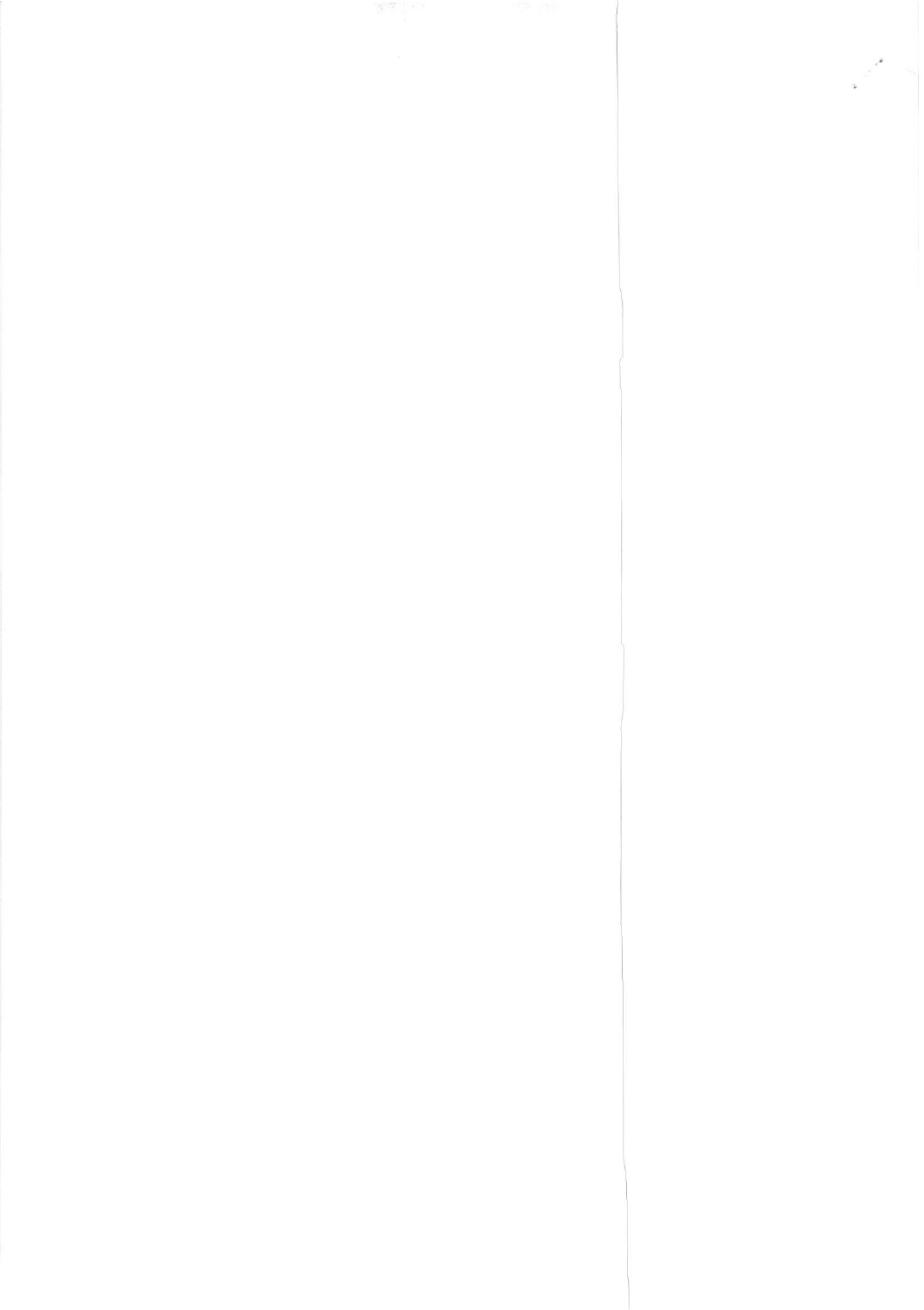